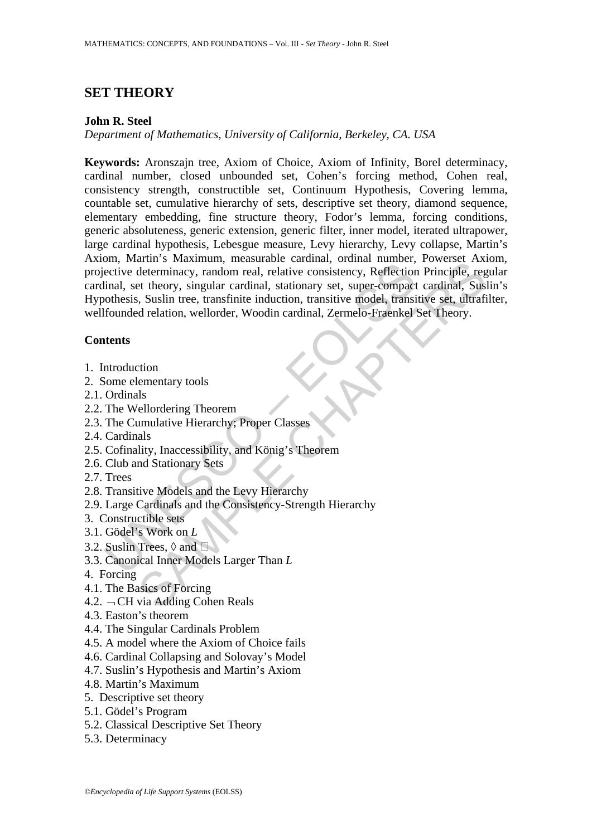# **SET THEORY**

# **John R. Steel**

*Department of Mathematics, University of California, Berkeley, CA. USA* 

 $\text{m}_{\text{in}}$  what is 'maximativ, measured current in current, our elective determinecy, random real, relative consistency, Reflection<br>tinal, set theory, singular cardinal, stationary set, super-compact<br>othesis, Suslin tre arm s *maximum*, measurance caramia; ontain namiost, rowater Aximum<br>determinacy, random real, relative consistency, Reflection Principle, reg<br>et theory, singular cardinal, stationary set, super-compact cardinal, Sus<br>is, Su **Keywords:** Aronszajn tree, Axiom of Choice, Axiom of Infinity, Borel determinacy, cardinal number, closed unbounded set, Cohen's forcing method, Cohen real, consistency strength, constructible set, Continuum Hypothesis, Covering lemma, countable set, cumulative hierarchy of sets, descriptive set theory, diamond sequence, elementary embedding, fine structure theory, Fodor's lemma, forcing conditions, generic absoluteness, generic extension, generic filter, inner model, iterated ultrapower, large cardinal hypothesis, Lebesgue measure, Levy hierarchy, Levy collapse, Martin's Axiom, Martin's Maximum, measurable cardinal, ordinal number, Powerset Axiom, projective determinacy, random real, relative consistency, Reflection Principle, regular cardinal, set theory, singular cardinal, stationary set, super-compact cardinal, Suslin's Hypothesis, Suslin tree, transfinite induction, transitive model, transitive set, ultrafilter, wellfounded relation, wellorder, Woodin cardinal, Zermelo-Fraenkel Set Theory.

# **Contents**

- 1. Introduction
- 2. Some elementary tools
- 2.1. Ordinals
- 2.2. The Wellordering Theorem
- 2.3. The Cumulative Hierarchy; Proper Classes
- 2.4. Cardinals
- 2.5. Cofinality, Inaccessibility, and König's Theorem
- 2.6. Club and Stationary Sets
- 2.7. Trees
- 2.8. Transitive Models and the Levy Hierarchy
- 2.9. Large Cardinals and the Consistency-Strength Hierarchy
- 3. Constructible sets
- 3.1. Gödel's Work on *L*
- 3.2. Suslin Trees,  $\Diamond$  and  $\Box$
- 3.3. Canonical Inner Models Larger Than *L*
- 4. Forcing
- 4.1. The Basics of Forcing
- 4.2.  $\neg$ CH via Adding Cohen Reals
- 4.3. Easton's theorem
- 4.4. The Singular Cardinals Problem
- 4.5. A model where the Axiom of Choice fails
- 4.6. Cardinal Collapsing and Solovay's Model
- 4.7. Suslin's Hypothesis and Martin's Axiom
- 4.8. Martin's Maximum
- 5. Descriptive set theory
- 5.1. Gödel's Program
- 5.2. Classical Descriptive Set Theory
- 5.3. Determinacy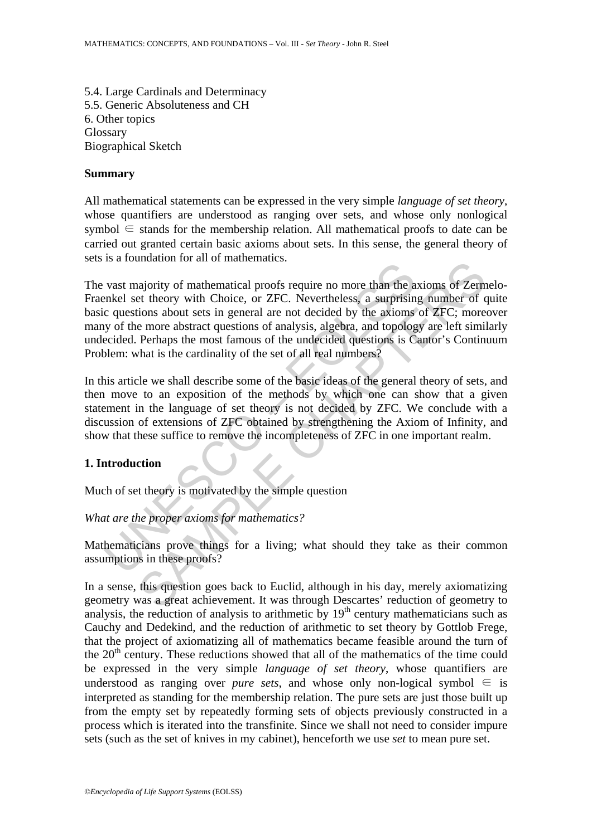5.4. Large Cardinals and Determinacy 5.5. Generic Absoluteness and CH 6. Other topics Glossary Biographical Sketch

### **Summary**

All mathematical statements can be expressed in the very simple *language of set theory*, whose quantifiers are understood as ranging over sets, and whose only nonlogical symbol  $\in$  stands for the membership relation. All mathematical proofs to date can be carried out granted certain basic axioms about sets. In this sense, the general theory of sets is a foundation for all of mathematics.

Let a constrained in the anti-<br>
and constrained in the mattem of the constant of the sixtual proofs require no more than the a<br>
calceled set theory with Choice, or ZFC. Nevertheless, a surprisin<br>
c questions about sets in maanon for an of mannemates.<br>
anjority of mathematical proofs require no more than the axioms of Zern<br>
et theory with Choice, or ZFC. Nevertheless, a surprising number of c<br>
to itons about sets in general are not decided b The vast majority of mathematical proofs require no more than the axioms of Zermelo-Fraenkel set theory with Choice, or ZFC. Nevertheless, a surprising number of quite basic questions about sets in general are not decided by the axioms of ZFC; moreover many of the more abstract questions of analysis, algebra, and topology are left similarly undecided. Perhaps the most famous of the undecided questions is Cantor's Continuum Problem: what is the cardinality of the set of all real numbers?

In this article we shall describe some of the basic ideas of the general theory of sets, and then move to an exposition of the methods by which one can show that a given statement in the language of set theory is not decided by ZFC. We conclude with a discussion of extensions of ZFC obtained by strengthening the Axiom of Infinity, and show that these suffice to remove the incompleteness of ZFC in one important realm.

## **1. Introduction**

Much of set theory is motivated by the simple question

*What are the proper axioms for mathematics?* 

Mathematicians prove things for a living; what should they take as their common assumptions in these proofs?

In a sense, this question goes back to Euclid, although in his day, merely axiomatizing geometry was a great achievement. It was through Descartes' reduction of geometry to analysis, the reduction of analysis to arithmetic by  $19<sup>th</sup>$  century mathematicians such as Cauchy and Dedekind, and the reduction of arithmetic to set theory by Gottlob Frege, that the project of axiomatizing all of mathematics became feasible around the turn of the  $20<sup>th</sup>$  century. These reductions showed that all of the mathematics of the time could be expressed in the very simple *language of set theory*, whose quantifiers are understood as ranging over *pure sets*, and whose only non-logical symbol  $\in$  is interpreted as standing for the membership relation. The pure sets are just those built up from the empty set by repeatedly forming sets of objects previously constructed in a process which is iterated into the transfinite. Since we shall not need to consider impure sets (such as the set of knives in my cabinet), henceforth we use *set* to mean pure set.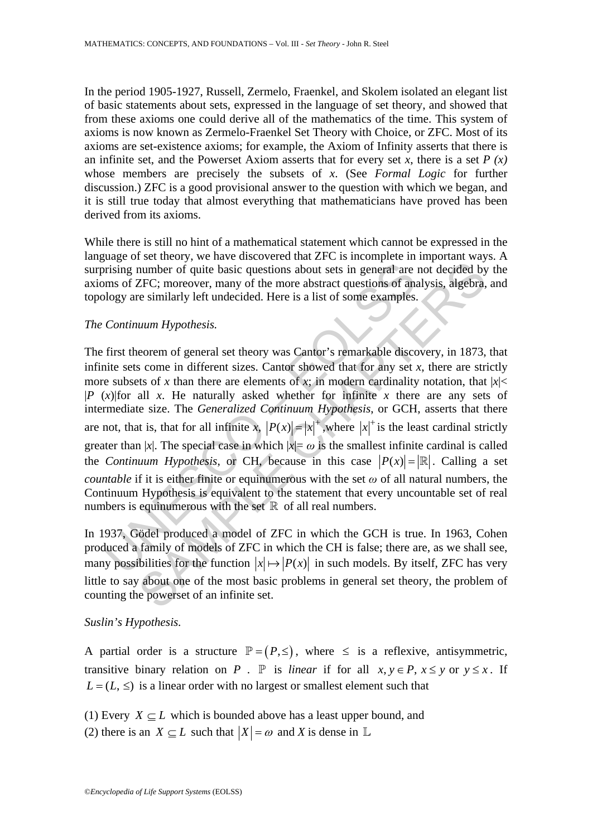In the period 1905-1927, Russell, Zermelo, Fraenkel, and Skolem isolated an elegant list of basic statements about sets, expressed in the language of set theory, and showed that from these axioms one could derive all of the mathematics of the time. This system of axioms is now known as Zermelo-Fraenkel Set Theory with Choice, or ZFC. Most of its axioms are set-existence axioms; for example, the Axiom of Infinity asserts that there is an infinite set, and the Powerset Axiom asserts that for every set *x*, there is a set  $P(x)$ whose members are precisely the subsets of *x*. (See *Formal Logic* for further discussion.) ZFC is a good provisional answer to the question with which we began, and it is still true today that almost everything that mathematicians have proved has been derived from its axioms.

While there is still no hint of a mathematical statement which cannot be expressed in the language of set theory, we have discovered that ZFC is incomplete in important ways. A surprising number of quite basic questions about sets in general are not decided by the axioms of ZFC; moreover, many of the more abstract questions of analysis, algebra, and topology are similarly left undecided. Here is a list of some examples.

#### *The Continuum Hypothesis.*

Fising number of quite basic questions about sets in general are<br>missing number of quite basic questions about sets in general are<br>more of ZFC; moreover, many of the more abstract questions of analogy are similarly left u number of quite basic questions about sets in general are not decided by<br>
ZFC; moreover, many of the more abstract questions of analysis, algebra,<br>
zEFC; moreover, many of the more abstract questions of analysis, algebra, The first theorem of general set theory was Cantor's remarkable discovery, in 1873, that infinite sets come in different sizes. Cantor showed that for any set *x*, there are strictly more subsets of x than there are elements of x; in modern cardinality notation, that  $|x|$  $|P(x)|$  for all *x*. He naturally asked whether for infinite *x* there are any sets of intermediate size. The *Generalized Continuum Hypothesis*, or GCH, asserts that there are not, that is, that for all infinite x,  $|P(x)| = |x|^+$ , where  $|x|^+$  is the least cardinal strictly greater than |*x*|. The special case in which  $|x| = \omega$  is the smallest infinite cardinal is called the *Continuum Hypothesis*, or CH, because in this case  $|P(x)| = |\mathbb{R}|$ . Calling a set *countable* if it is either finite or equinumerous with the set  $\omega$  of all natural numbers, the Continuum Hypothesis is equivalent to the statement that every uncountable set of real numbers is equinumerous with the set  $\mathbb R$  of all real numbers.

In 1937, Gödel produced a model of ZFC in which the GCH is true. In 1963, Cohen produced a family of models of ZFC in which the CH is false; there are, as we shall see, many possibilities for the function  $|x| \mapsto |P(x)|$  in such models. By itself, ZFC has very little to say about one of the most basic problems in general set theory, the problem of counting the powerset of an infinite set.

## *Suslin's Hypothesis.*

A partial order is a structure  $\mathbb{P} = (P, \leq)$ , where  $\leq$  is a reflexive, antisymmetric, transitive binary relation on *P* . P is *linear* if for all  $x, y \in P, x \le y$  or  $y \le x$ . If  $L = (L, \leq)$  is a linear order with no largest or smallest element such that

(1) Every  $X \subset L$  which is bounded above has a least upper bound, and

(2) there is an  $X \subset L$  such that  $|X| = \omega$  and *X* is dense in  $\mathbb{L}$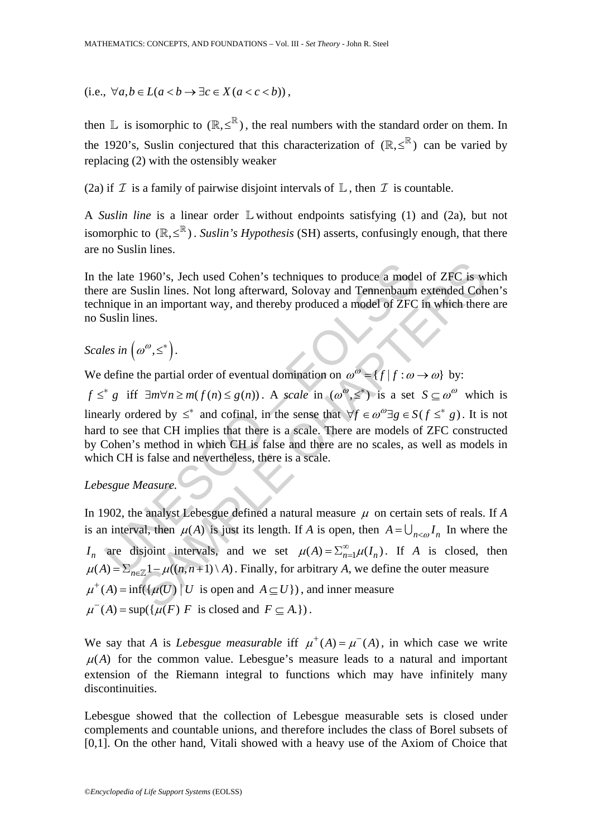$(i.e., \forall a, b \in L(a < b \rightarrow \exists c \in X (a < c < b)),$ 

then L is isomorphic to  $(\mathbb{R}, \leq^{\mathbb{R}})$ , the real numbers with the standard order on them. In the 1920's, Suslin conjectured that this characterization of  $(\mathbb{R}, \leq^{\mathbb{R}})$  can be varied by replacing (2) with the ostensibly weaker

(2a) if  $\mathcal I$  is a family of pairwise disjoint intervals of  $\mathbb L$ , then  $\mathcal I$  is countable.

A *Suslin line* is a linear order L without endpoints satisfying (1) and (2a), but not isomorphic to  $(\mathbb{R}, \leq^{\mathbb{R}})$ . *Suslin's Hypothesis* (SH) asserts, confusingly enough, that there are no Suslin lines.

In the late 1960's, Jech used Cohen's techniques to produce a model of ZFC is which there are Suslin lines. Not long afterward, Solovay and Tennenbaum extended Cohen's technique in an important way, and thereby produced a model of ZFC in which there are no Suslin lines.

*Scales in*  $(\omega^{\omega}, \leq^*)$ .

We define the partial order of eventual domination on  ${\omega}^{\omega} = {f | f : \omega \rightarrow \omega}$  by:

the late 1960's, Jech used Cohen's techniques to produce a mode<br>
e are Suslin lines. Not long afterward, Solovay and Tennenbaum<br>
mique in an important way, and thereby produced a model of ZFC<br>
suslin lines.<br>
les in  $(\omega^{\omega$ *f*  $\leq$ <sup>\*</sup> *g* iff  $\exists m \forall n \ge m$   $(f(n) \le g(n))$ . A *scale* in  $(\omega^{\omega}, \leq^*)$  is a set  $S \subseteq \omega^{\omega}$  which is linearly ordered by  $\leq^*$  and cofinal, in the sense that  $\forall f \in \omega^{\omega} \exists g \in S(f \leq^* g)$ . It is not hard to see that CH implies that there is a scale. There are models of ZFC constructed by Cohen's method in which CH is false and there are no scales, as well as models in which CH is false and nevertheless, there is a scale.

# *Lebesgue Measure.*

1960's, Jech used Cohen's techniques to produce a model of ZFC is w<br>uslin lines. Not long afterward, Solovay and Tennenbaum extended Coh<br>n an important way, and thereby produced a model of ZFC in which there<br>ines.<br> $\omega^{\omega}$ In 1902, the analyst Lebesgue defined a natural measure μ on certain sets of reals. If *A* is an interval, then  $\mu(A)$  is just its length. If *A* is open, then  $A = \bigcup_{n \leq \omega} I_n$  In where the *I<sub>n</sub>* are disjoint intervals, and we set  $\mu(A) = \sum_{n=1}^{\infty} \mu(I_n)$ . If *A* is closed, then  $\mu(A) = \sum_{n \in \mathbb{Z}} 1 - \mu((n, n+1) \setminus A)$ . Finally, for arbitrary *A*, we define the outer measure  $\mu^+(A) = \inf(\{\mu(U) \mid U \text{ is open and } A \subseteq U\})$ , and inner measure  $\mu^{-}(A) = \sup(\{\mu(F) \mid F \text{ is closed and } F \subseteq A.\})$ .

We say that *A* is *Lebesgue measurable* iff  $\mu^+(A) = \mu^-(A)$ , in which case we write  $\mu(A)$  for the common value. Lebesgue's measure leads to a natural and important extension of the Riemann integral to functions which may have infinitely many discontinuities.

Lebesgue showed that the collection of Lebesgue measurable sets is closed under complements and countable unions, and therefore includes the class of Borel subsets of [0,1]. On the other hand, Vitali showed with a heavy use of the Axiom of Choice that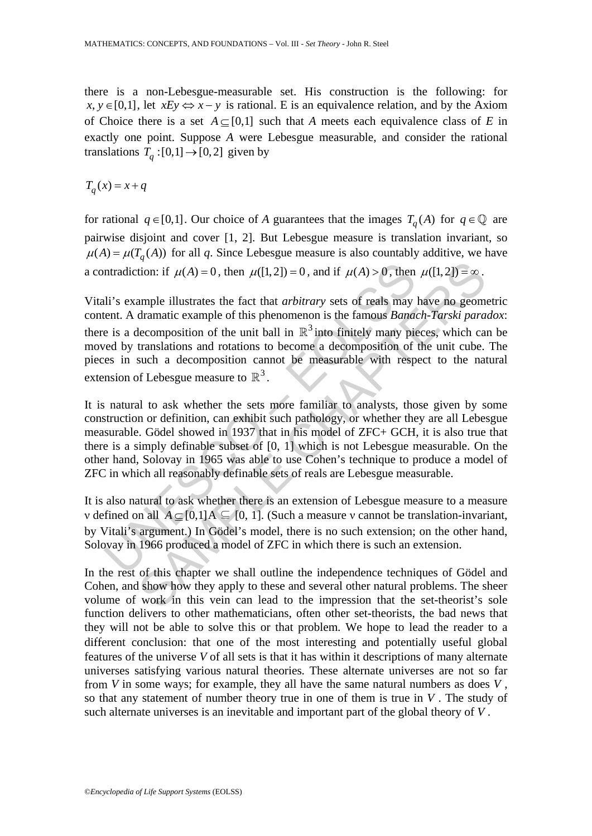there is a non-Lebesgue-measurable set. His construction is the following: for  $x, y \in [0,1]$ , let  $xEy \Leftrightarrow x-y$  is rational. E is an equivalence relation, and by the Axiom of Choice there is a set  $A \subset [0,1]$  such that *A* meets each equivalence class of *E* in exactly one point. Suppose *A* were Lebesgue measurable, and consider the rational translations  $T_a : [0, 1] \rightarrow [0, 2]$  given by

 $T_a(x) = x + q$ 

for rational  $q \in [0,1]$ . Our choice of *A* guarantees that the images  $T_q(A)$  for  $q \in \mathbb{Q}$  are pairwise disjoint and cover [1, 2]. But Lebesgue measure is translation invariant, so  $\mu(A) = \mu(T_a(A))$  for all *q*. Since Lebesgue measure is also countably additive, we have a contradiction: if  $\mu(A) = 0$ , then  $\mu([1,2]) = 0$ , and if  $\mu(A) > 0$ , then  $\mu([1,2]) = \infty$ .

ntradiction: if  $\mu(A) = 0$ , then  $\mu([1, 2]) = 0$ , and if  $\mu(A) > 0$ , then<br>li's example illustrates the fact that *arbitrary* sets of reals may<br>eent. A dramatic example of this phenomenon is the famous *Banac*<br>e is a decomposi <sup>4</sup><br>
ion: if  $\mu(A) = 0$ , then  $\mu([1,2]) = 0$ , and if  $\mu(A) > 0$ , then  $\mu([1,2]) = \infty$ .<br>
ample illustrates the fact that *arbitrary* sets of reals may have no geom<br>
dramatic example of this phenomenon is the famous *Banach-Tarsk* Vitali's example illustrates the fact that *arbitrary* sets of reals may have no geometric content. A dramatic example of this phenomenon is the famous *Banach-Tarski paradox*: there is a decomposition of the unit ball in  $\mathbb{R}^3$  into finitely many pieces, which can be moved by translations and rotations to become a decomposition of the unit cube. The pieces in such a decomposition cannot be measurable with respect to the natural extension of Lebesgue measure to  $\mathbb{R}^3$ .

It is natural to ask whether the sets more familiar to analysts, those given by some construction or definition, can exhibit such pathology, or whether they are all Lebesgue measurable. Gödel showed in 1937 that in his model of ZFC+ GCH, it is also true that there is a simply definable subset of [0, 1] which is not Lebesgue measurable. On the other hand, Solovay in 1965 was able to use Cohen's technique to produce a model of ZFC in which all reasonably definable sets of reals are Lebesgue measurable.

It is also natural to ask whether there is an extension of Lebesgue measure to a measure v defined on all  $A \subseteq [0,1]$   $A \subseteq [0, 1]$ . (Such a measure v cannot be translation-invariant, by Vitali's argument.) In Gödel's model, there is no such extension; on the other hand, Solovay in 1966 produced a model of ZFC in which there is such an extension.

In the rest of this chapter we shall outline the independence techniques of Gödel and Cohen, and show how they apply to these and several other natural problems. The sheer volume of work in this vein can lead to the impression that the set-theorist's sole function delivers to other mathematicians, often other set-theorists, the bad news that they will not be able to solve this or that problem. We hope to lead the reader to a different conclusion: that one of the most interesting and potentially useful global features of the universe *V* of all sets is that it has within it descriptions of many alternate universes satisfying various natural theories. These alternate universes are not so far from *V* in some ways; for example, they all have the same natural numbers as does *V* , so that any statement of number theory true in one of them is true in *V* . The study of such alternate universes is an inevitable and important part of the global theory of *V* .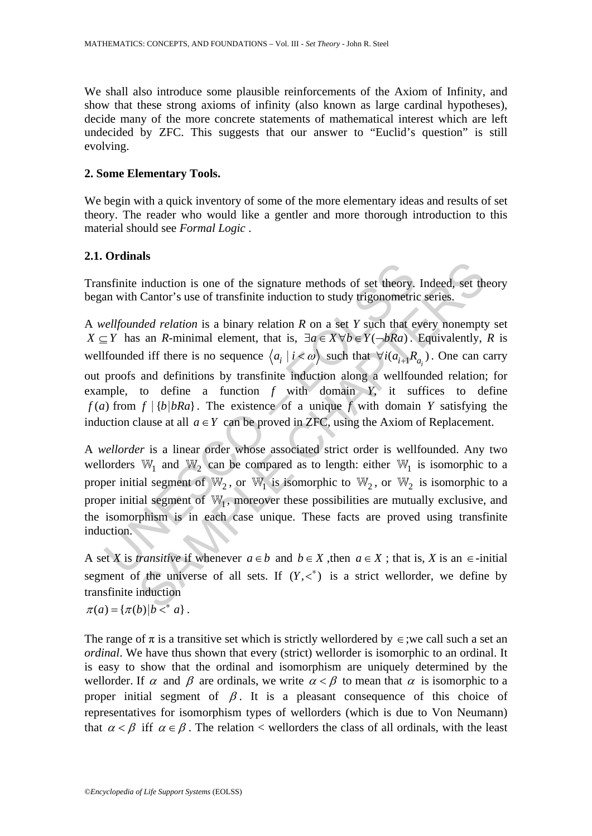We shall also introduce some plausible reinforcements of the Axiom of Infinity, and show that these strong axioms of infinity (also known as large cardinal hypotheses), decide many of the more concrete statements of mathematical interest which are left undecided by ZFC. This suggests that our answer to "Euclid's question" is still evolving.

### **2. Some Elementary Tools.**

We begin with a quick inventory of some of the more elementary ideas and results of set theory. The reader who would like a gentler and more thorough introduction to this material should see *Formal Logic* .

# **2.1. Ordinals**

Transfinite induction is one of the signature methods of set theory. Indeed, set theory began with Cantor's use of transfinite induction to study trigonometric series.

as finite induction is one of the signature methods of set theory.<br>
an with Cantor's use of transfinite induction to study trigonometric<br> *vellfounded relation* is a binary relation R on a set Y such that  $\in Y$  has an R-m induction is one of the signature methods of set theory. Indeed, set the<br>Cantor's use of transfinite induction to study trigonometric series.<br>
Aded relation is a binary relation R on a set Y such that every nonempty<br>
san A *wellfounded relation* is a binary relation *R* on a set *Y* such that every nonempty set *X* ⊆ *Y* has an *R*-minimal element, that is,  $\exists a \in X \forall b \in Y(\neg bRa)$ . Equivalently, *R* is wellfounded iff there is no sequence  $\langle a_i | i \langle \omega \rangle$  such that  $\forall i (a_{i+1} R_{a_i})$ . One can carry out proofs and definitions by transfinite induction along a wellfounded relation; for example, to define a function *f* with domain *Y*, it suffices to define  $f(a)$  from  $f | {b|bRa}$ . The existence of a unique *f* with domain *Y* satisfying the induction clause at all  $a \in Y$  can be proved in ZFC, using the Axiom of Replacement.

A *wellorder* is a linear order whose associated strict order is wellfounded. Any two wellorders  $W_1$  and  $W_2$  can be compared as to length: either  $W_1$  is isomorphic to a proper initial segment of  $\mathbb{W}_2$ , or  $\mathbb{W}_1$  is isomorphic to  $\mathbb{W}_2$ , or  $\mathbb{W}_2$  is isomorphic to a proper initial segment of  $\mathbb{W}_1$ , moreover these possibilities are mutually exclusive, and the isomorphism is in each case unique. These facts are proved using transfinite induction.

A set *X* is *transitive* if whenever  $a \in b$  and  $b \in X$ , then  $a \in X$ ; that is, *X* is an  $\in$ -initial segment of the universe of all sets. If  $(Y, <^*)$  is a strict wellorder, we define by transfinite induction

 $\pi(a) = {\pi(b) | b <^* a}$ .

The range of  $\pi$  is a transitive set which is strictly wellordered by  $\in$ ;we call such a set an *ordinal*. We have thus shown that every (strict) wellorder is isomorphic to an ordinal. It is easy to show that the ordinal and isomorphism are uniquely determined by the wellorder. If  $\alpha$  and  $\beta$  are ordinals, we write  $\alpha < \beta$  to mean that  $\alpha$  is isomorphic to a proper initial segment of  $\beta$ . It is a pleasant consequence of this choice of representatives for isomorphism types of wellorders (which is due to Von Neumann) that  $\alpha < \beta$  iff  $\alpha \in \beta$ . The relation < wellorders the class of all ordinals, with the least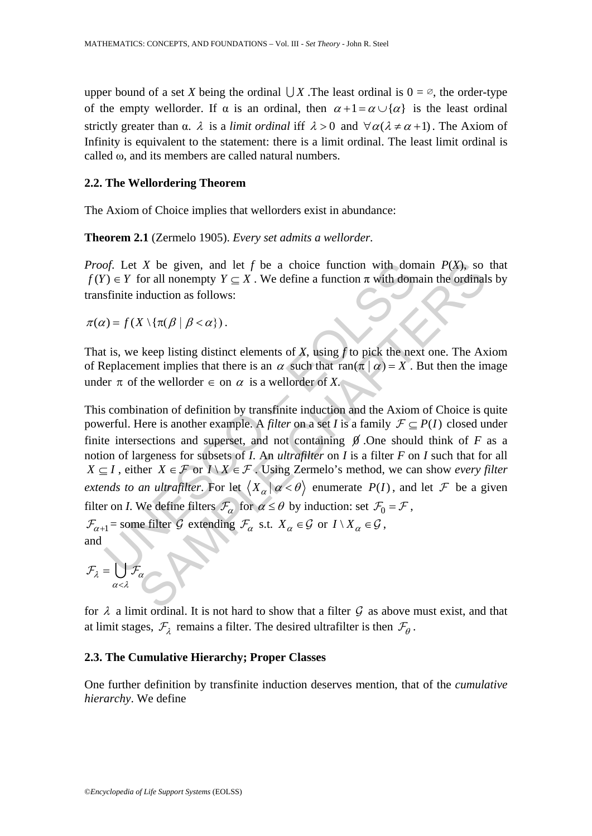upper bound of a set *X* being the ordinal  $\bigcup X$ . The least ordinal is  $0 = \emptyset$ , the order-type of the empty wellorder. If  $\alpha$  is an ordinal, then  $\alpha + 1 = \alpha \cup \{\alpha\}$  is the least ordinal strictly greater than  $\alpha$ .  $\lambda$  is a *limit ordinal* iff  $\lambda > 0$  and  $\forall \alpha (\lambda \neq \alpha + 1)$ . The Axiom of Infinity is equivalent to the statement: there is a limit ordinal. The least limit ordinal is called ω, and its members are called natural numbers.

### **2.2. The Wellordering Theorem**

The Axiom of Choice implies that wellorders exist in abundance:

**Theorem 2.1** (Zermelo 1905). *Every set admits a wellorder*.

*Proof*. Let *X* be given, and let *f* be a choice function with domain *P*(*X*), so that  $f(Y) \in Y$  for all nonempty  $Y \subset X$ . We define a function  $\pi$  with domain the ordinals by transfinite induction as follows:

 $\pi(\alpha) = f(X \setminus {\{\pi(\beta \mid \beta < \alpha\})})$ .

That is, we keep listing distinct elements of *X*, using *f* to pick the next one. The Axiom of Replacement implies that there is an  $\alpha$  such that  $ran(\pi | \alpha) = X$ . But then the image under  $\pi$  of the wellorder  $\in$  on  $\alpha$  is a wellorder of *X*.

of. Let X be given, and let f be a choice function with don  $0 \in Y$  for all nonempty  $Y \subseteq X$ . We define a function  $\pi$  with dom<br>sfinite induction as follows:<br> $t) = f(X \setminus {\pi(\beta | \beta < \alpha)})$ .<br>is, we keep listing distinct elements of X be given, and let f be a choice function with domain  $P(X)$ , so<br>for all nonempty  $Y \subseteq X$ . We define a function  $\pi$  with domain the ordinal<br>induction as follows:<br> $X \setminus {\pi(\beta | \beta < \alpha)}$ .<br>keep listing distinct elements of X, usi This combination of definition by transfinite induction and the Axiom of Choice is quite powerful. Here is another example. A *filter* on a set *I* is a family  $\mathcal{F} \subseteq P(I)$  closed under finite intersections and superset, and not containing  $\beta$ . One should think of *F* as a notion of largeness for subsets of *I*. An *ultrafilter* on *I* is a filter *F* on *I* such that for all *X* ⊆ *I*, either *X* ∈ *F* or *I*  $\setminus$  *X* ∈ *F*  $\cdot$  Using Zermelo's method, we can show *every filter extends to an ultrafilter.* For let  $\langle X_\alpha | \alpha \langle \theta \rangle$  enumerate  $P(I)$ , and let F be a given filter on *I*. We define filters  $\mathcal{F}_{\alpha}$  for  $\alpha \le \theta$  by induction: set  $\mathcal{F}_{0} = \mathcal{F}$ ,  $\mathcal{F}_{\alpha+1}$ = some filter G extending  $\mathcal{F}_{\alpha}$  s.t.  $X_{\alpha} \in \mathcal{G}$  or  $I \setminus X_{\alpha} \in \mathcal{G}$ , and

$$
\mathcal{F}_{\lambda} = \bigcup_{\alpha < \lambda} \mathcal{F}_{\alpha}
$$

for  $\lambda$  a limit ordinal. It is not hard to show that a filter  $\mathcal G$  as above must exist, and that at limit stages,  $\mathcal{F}_{\lambda}$  remains a filter. The desired ultrafilter is then  $\mathcal{F}_{\theta}$ .

#### **2.3. The Cumulative Hierarchy; Proper Classes**

One further definition by transfinite induction deserves mention, that of the *cumulative hierarchy*. We define